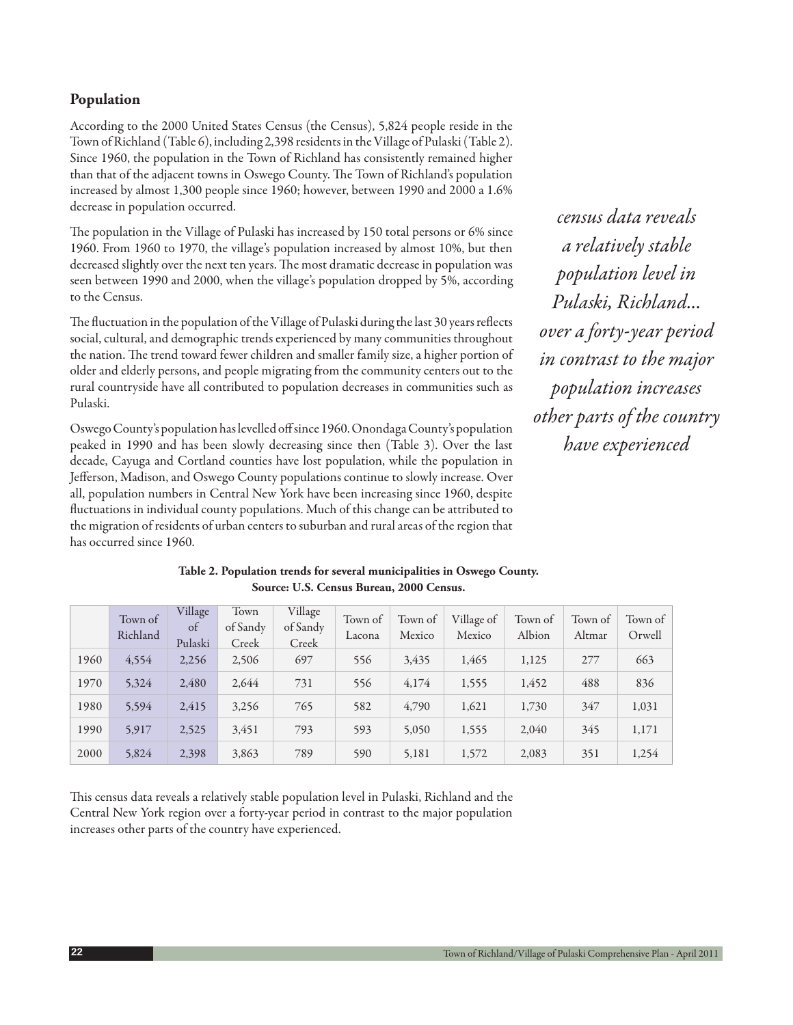# **Population**

According to the 2000 United States Census (the Census), 5,824 people reside in the Town of Richland (Table 6), including 2,398 residents in the Village of Pulaski (Table 2). Since 1960, the population in the Town of Richland has consistently remained higher than that of the adjacent towns in Oswego County. The Town of Richland's population increased by almost 1,300 people since 1960; however, between 1990 and 2000 a 1.6% decrease in population occurred.

The population in the Village of Pulaski has increased by 150 total persons or 6% since 1960. From 1960 to 1970, the village's population increased by almost 10%, but then decreased slightly over the next ten years. The most dramatic decrease in population was seen between 1990 and 2000, when the village's population dropped by 5%, according to the Census.

The fluctuation in the population of the Village of Pulaski during the last 30 years reflects social, cultural, and demographic trends experienced by many communities throughout the nation. The trend toward fewer children and smaller family size, a higher portion of older and elderly persons, and people migrating from the community centers out to the rural countryside have all contributed to population decreases in communities such as Pulaski.

Oswego County's population has levelled off since 1960. Onondaga County's population peaked in 1990 and has been slowly decreasing since then (Table 3). Over the last decade, Cayuga and Cortland counties have lost population, while the population in Jefferson, Madison, and Oswego County populations continue to slowly increase. Over all, population numbers in Central New York have been increasing since 1960, despite fluctuations in individual county populations. Much of this change can be attributed to the migration of residents of urban centers to suburban and rural areas of the region that has occurred since 1960.

*census data reveals a relatively stable population level in Pulaski, Richland... over a forty-year period in contrast to the major population increases other parts of the country have experienced*

|      | Town of<br>Richland | Village<br>of<br>Pulaski | Town<br>of Sandy<br>Creek | Village<br>of Sandy<br>Creek | Town of<br>Lacona | Town of<br>Mexico | Village of<br>Mexico | Town of<br>Albion | Town of<br>Altmar | Town of<br>Orwell |
|------|---------------------|--------------------------|---------------------------|------------------------------|-------------------|-------------------|----------------------|-------------------|-------------------|-------------------|
| 1960 | 4,554               | 2,256                    | 2,506                     | 697                          | 556               | 3,435             | 1,465                | 1,125             | 277               | 663               |
| 1970 | 5,324               | 2,480                    | 2,644                     | 731                          | 556               | 4,174             | 1,555                | 1,452             | 488               | 836               |
| 1980 | 5,594               | 2,415                    | 3,256                     | 765                          | 582               | 4,790             | 1,621                | 1,730             | 347               | 1,031             |
| 1990 | 5,917               | 2,525                    | 3,451                     | 793                          | 593               | 5,050             | 1,555                | 2,040             | 345               | 1,171             |
| 2000 | 5,824               | 2,398                    | 3,863                     | 789                          | 590               | 5,181             | 1,572                | 2,083             | 351               | 1,254             |

# **Table 2. Population trends for several municipalities in Oswego County. Source: U.S. Census Bureau, 2000 Census.**

This census data reveals a relatively stable population level in Pulaski, Richland and the Central New York region over a forty-year period in contrast to the major population increases other parts of the country have experienced.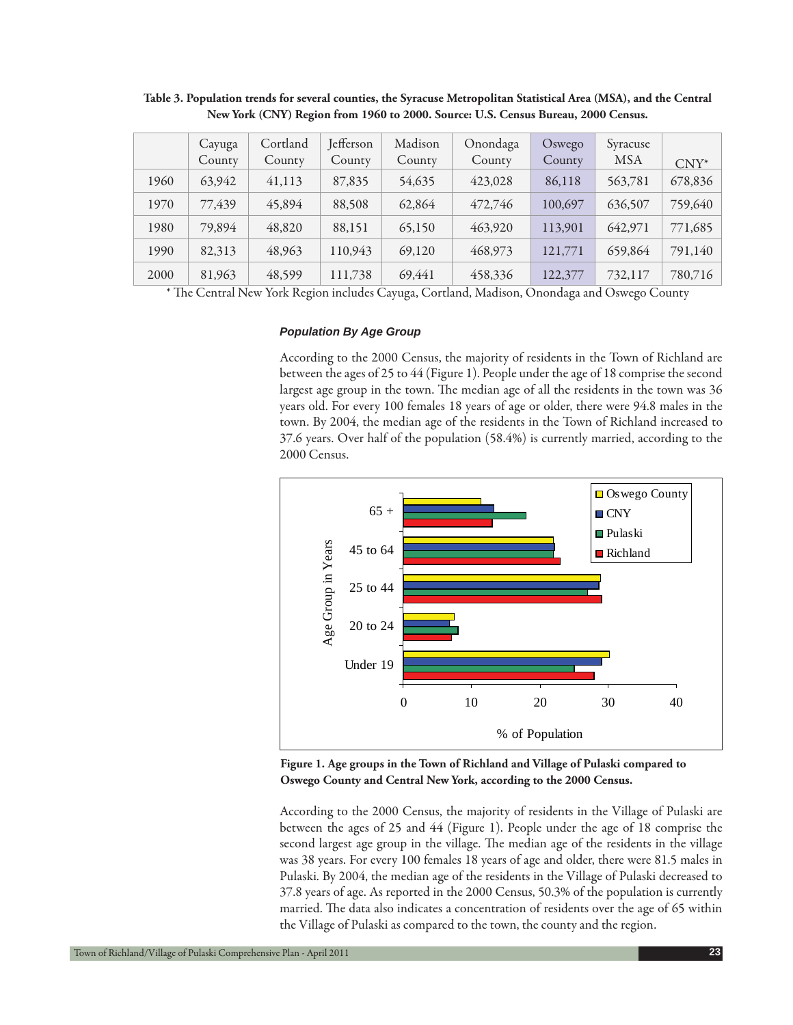|      | Cayuga<br>County | Cortland<br>County | Jefferson<br>County | Madison<br>County | Onondaga<br>County | Oswego<br>County | Syracuse<br><b>MSA</b> | $CNY^*$ |
|------|------------------|--------------------|---------------------|-------------------|--------------------|------------------|------------------------|---------|
| 1960 | 63,942           | 41,113             | 87,835              | 54,635            | 423,028            | 86,118           | 563,781                | 678,836 |
| 1970 | 77,439           | 45,894             | 88,508              | 62,864            | 472,746            | 100,697          | 636,507                | 759,640 |
| 1980 | 79,894           | 48,820             | 88,151              | 65,150            | 463,920            | 113,901          | 642,971                | 771,685 |
| 1990 | 82,313           | 48,963             | 110,943             | 69,120            | 468,973            | 121,771          | 659,864                | 791,140 |
| 2000 | 81,963           | 48,599             | 111,738             | 69,441            | 458,336            | 122,377          | 732,117                | 780,716 |

**Table 3. Population trends for several counties, the Syracuse Metropolitan Statistical Area (MSA), and the Central New York (CNY) Region from 1960 to 2000. Source: U.S. Census Bureau, 2000 Census.**

\* The Central New York Region includes Cayuga, Cortland, Madison, Onondaga and Oswego County

#### *Population By Age Group*

According to the 2000 Census, the majority of residents in the Town of Richland are between the ages of 25 to 44 (Figure 1). People under the age of 18 comprise the second largest age group in the town. The median age of all the residents in the town was 36 years old. For every 100 females 18 years of age or older, there were 94.8 males in the town. By 2004, the median age of the residents in the Town of Richland increased to 37.6 years. Over half of the population (58.4%) is currently married, according to the 2000 Census.



**Figure 1. Age groups in the Town of Richland and Village of Pulaski compared to Oswego County and Central New York, according to the 2000 Census.**

According to the 2000 Census, the majority of residents in the Village of Pulaski are between the ages of 25 and 44 (Figure 1). People under the age of 18 comprise the second largest age group in the village. The median age of the residents in the village was 38 years. For every 100 females 18 years of age and older, there were 81.5 males in Pulaski. By 2004, the median age of the residents in the Village of Pulaski decreased to 37.8 years of age. As reported in the 2000 Census, 50.3% of the population is currently married. The data also indicates a concentration of residents over the age of 65 within the Village of Pulaski as compared to the town, the county and the region.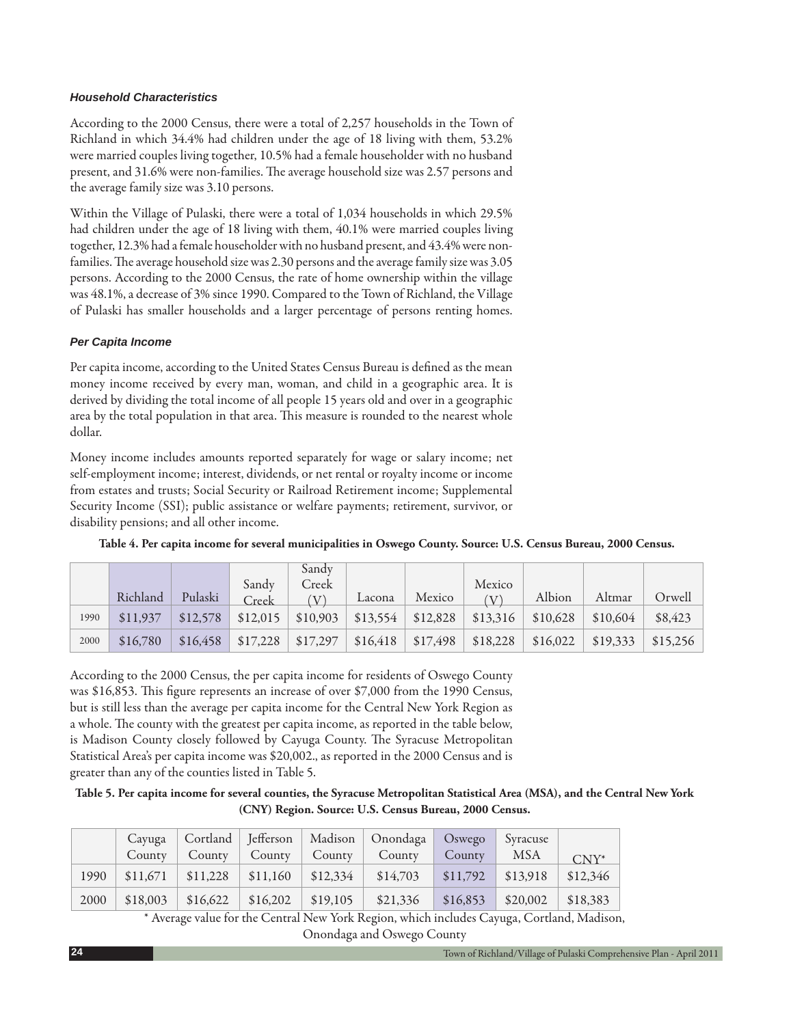## *Household Characteristics*

According to the 2000 Census, there were a total of 2,257 households in the Town of Richland in which 34.4% had children under the age of 18 living with them, 53.2% were married couples living together, 10.5% had a female householder with no husband present, and 31.6% were non-families. The average household size was 2.57 persons and the average family size was 3.10 persons.

Within the Village of Pulaski, there were a total of 1,034 households in which 29.5% had children under the age of 18 living with them, 40.1% were married couples living together, 12.3% had a female householder with no husband present, and 43.4% were nonfamilies. The average household size was 2.30 persons and the average family size was 3.05 persons. According to the 2000 Census, the rate of home ownership within the village was 48.1%, a decrease of 3% since 1990. Compared to the Town of Richland, the Village of Pulaski has smaller households and a larger percentage of persons renting homes.

## *Per Capita Income*

Per capita income, according to the United States Census Bureau is defined as the mean money income received by every man, woman, and child in a geographic area. It is derived by dividing the total income of all people 15 years old and over in a geographic area by the total population in that area. This measure is rounded to the nearest whole dollar.

Money income includes amounts reported separately for wage or salary income; net self-employment income; interest, dividends, or net rental or royalty income or income from estates and trusts; Social Security or Railroad Retirement income; Supplemental Security Income (SSI); public assistance or welfare payments; retirement, survivor, or disability pensions; and all other income.

|      |          |          |          | Sandy    |          |          |                            |          |          |          |
|------|----------|----------|----------|----------|----------|----------|----------------------------|----------|----------|----------|
|      |          |          | Sandy    | Creek    |          |          | Mexico                     |          |          |          |
|      | Richland | Pulaski  | Creek    | $\Delta$ | Lacona   | Mexico   | $\left( \mathrm{V}\right)$ | Albion   | Altmar   | Orwell   |
| 1990 | \$11,937 | \$12,578 | \$12,015 | \$10,903 | \$13,554 | \$12,828 | \$13,316                   | \$10,628 | \$10,604 | \$8,423  |
| 2000 | \$16,780 | \$16,458 | \$17,228 | \$17,297 | \$16,418 | \$17,498 | \$18,228                   | \$16,022 | \$19,333 | \$15,256 |

**Table 4. Per capita income for several municipalities in Oswego County. Source: U.S. Census Bureau, 2000 Census.**

According to the 2000 Census, the per capita income for residents of Oswego County was \$16,853. This figure represents an increase of over \$7,000 from the 1990 Census, but is still less than the average per capita income for the Central New York Region as a whole. The county with the greatest per capita income, as reported in the table below, is Madison County closely followed by Cayuga County. The Syracuse Metropolitan Statistical Area's per capita income was \$20,002., as reported in the 2000 Census and is greater than any of the counties listed in Table 5.

**Table 5. Per capita income for several counties, the Syracuse Metropolitan Statistical Area (MSA), and the Central New York (CNY) Region. Source: U.S. Census Bureau, 2000 Census.**

|      | County   |          | County   County   County |          | Cayuga   Cortland   Jefferson   Madison   Onondaga  <br>County | $\log$ Oswego<br>County | Syracuse<br><b>MSA</b> | $CNY^*$  |
|------|----------|----------|--------------------------|----------|----------------------------------------------------------------|-------------------------|------------------------|----------|
| 1990 | \$11,671 | \$11,228 | \$11,160                 | \$12,334 | \$14,703                                                       | \$11,792                | \$13,918               | \$12,346 |
| 2000 | \$18,003 | \$16,622 | \$16,202                 | \$19,105 | \$21,336                                                       | \$16,853                | \$20,002               | \$18,383 |

\* Average value for the Central New York Region, which includes Cayuga, Cortland, Madison,

Onondaga and Oswego County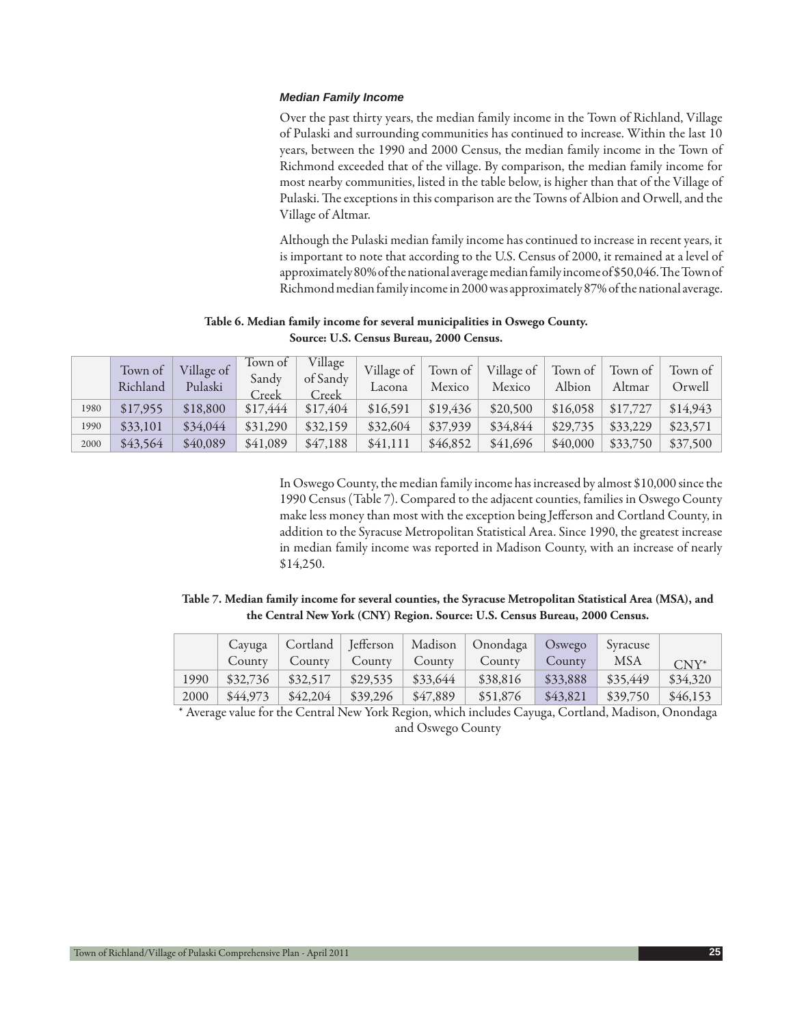#### *Median Family Income*

Over the past thirty years, the median family income in the Town of Richland, Village of Pulaski and surrounding communities has continued to increase. Within the last 10 years, between the 1990 and 2000 Census, the median family income in the Town of Richmond exceeded that of the village. By comparison, the median family income for most nearby communities, listed in the table below, is higher than that of the Village of Pulaski. The exceptions in this comparison are the Towns of Albion and Orwell, and the Village of Altmar.

Although the Pulaski median family income has continued to increase in recent years, it is important to note that according to the U.S. Census of 2000, it remained at a level of approximately 80% of the national average median family income of \$50,046. The Town of Richmond median family income in 2000 was approximately 87% of the national average.

### **Table 6. Median family income for several municipalities in Oswego County. Source: U.S. Census Bureau, 2000 Census.**

|      | Town of<br>Richland | Village of<br>Pulaski | Town of<br>Sandy<br>Creek | Village<br>of Sandy<br>Creek | Village of<br>Lacona | Town of<br>Mexico | Village of<br>Mexico | Town of<br>Albion | Town of<br>Altmar | Town of<br>Orwell |
|------|---------------------|-----------------------|---------------------------|------------------------------|----------------------|-------------------|----------------------|-------------------|-------------------|-------------------|
| 1980 | \$17,955            | \$18,800              | \$17,444                  | \$17,404                     | \$16,591             | \$19,436          | \$20,500             | \$16,058          | \$17,727          | \$14,943          |
| 1990 | \$33,101            | \$34,044              | \$31,290                  | \$32,159                     | \$32,604             | \$37,939          | \$34,844             | \$29,735          | \$33,229          | \$23,571          |
| 2000 | \$43,564            | \$40,089              | \$41,089                  | \$47,188                     | \$41,111             | \$46,852          | \$41,696             | \$40,000          | \$33,750          | \$37,500          |

In Oswego County, the median family income has increased by almost \$10,000 since the 1990 Census (Table 7). Compared to the adjacent counties, families in Oswego County make less money than most with the exception being Jefferson and Cortland County, in addition to the Syracuse Metropolitan Statistical Area. Since 1990, the greatest increase in median family income was reported in Madison County, with an increase of nearly \$14,250.

## **Table 7. Median family income for several counties, the Syracuse Metropolitan Statistical Area (MSA), and the Central New York (CNY) Region. Source: U.S. Census Bureau, 2000 Census.**

|      | Cayuga   |          |                 |          | Cortland Jefferson   Madison   Onondaga | Oswego   | Svracuse   |          |
|------|----------|----------|-----------------|----------|-----------------------------------------|----------|------------|----------|
|      | County   | County   | County   County |          | County                                  | County   | <b>MSA</b> | $CNY^*$  |
| 1990 | \$32,736 | \$32,517 | \$29,535        | \$33,644 | \$38,816                                | \$33,888 | \$35,449   | \$34,320 |
| 2000 | \$44,973 | \$42,204 | \$39,296        | \$47,889 | \$51,876                                | \$43,821 | \$39,750   | \$46,153 |

\* Average value for the Central New York Region, which includes Cayuga, Cortland, Madison, Onondaga and Oswego County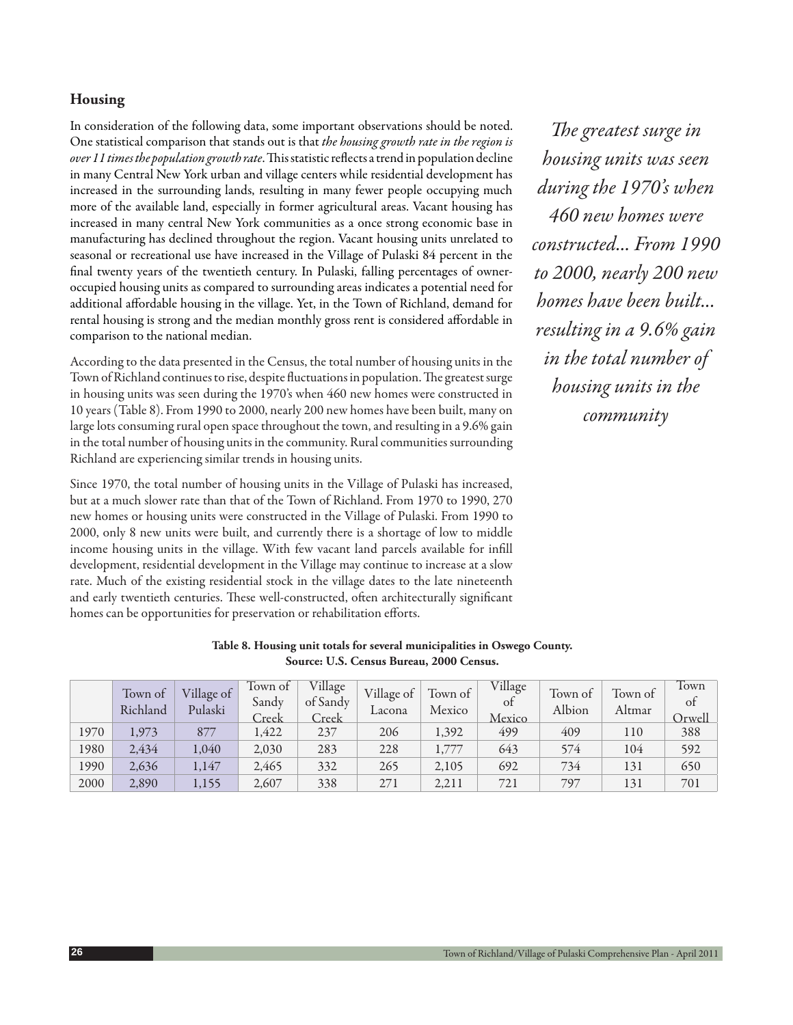# **Housing**

In consideration of the following data, some important observations should be noted. One statistical comparison that stands out is that *the housing growth rate in the region is over 11 times the population growth rate*. This statistic reflects a trend in population decline in many Central New York urban and village centers while residential development has increased in the surrounding lands, resulting in many fewer people occupying much more of the available land, especially in former agricultural areas. Vacant housing has increased in many central New York communities as a once strong economic base in manufacturing has declined throughout the region. Vacant housing units unrelated to seasonal or recreational use have increased in the Village of Pulaski 84 percent in the final twenty years of the twentieth century. In Pulaski, falling percentages of owneroccupied housing units as compared to surrounding areas indicates a potential need for additional affordable housing in the village. Yet, in the Town of Richland, demand for rental housing is strong and the median monthly gross rent is considered affordable in comparison to the national median.

According to the data presented in the Census, the total number of housing units in the Town of Richland continues to rise, despite fluctuations in population. The greatest surge in housing units was seen during the 1970's when 460 new homes were constructed in 10 years (Table 8). From 1990 to 2000, nearly 200 new homes have been built, many on large lots consuming rural open space throughout the town, and resulting in a 9.6% gain in the total number of housing units in the community. Rural communities surrounding Richland are experiencing similar trends in housing units.

Since 1970, the total number of housing units in the Village of Pulaski has increased, but at a much slower rate than that of the Town of Richland. From 1970 to 1990, 270 new homes or housing units were constructed in the Village of Pulaski. From 1990 to 2000, only 8 new units were built, and currently there is a shortage of low to middle income housing units in the village. With few vacant land parcels available for infill development, residential development in the Village may continue to increase at a slow rate. Much of the existing residential stock in the village dates to the late nineteenth and early twentieth centuries. These well-constructed, often architecturally significant homes can be opportunities for preservation or rehabilitation efforts.

*The greatest surge in housing units was seen during the 1970's when 460 new homes were constructed... From 1990 to 2000, nearly 200 new homes have been built... resulting in a 9.6% gain in the total number of housing units in the community*

|      | $\sigma$            |                       |                           |                              |                      |                   |                         |                   |                   |                      |  |
|------|---------------------|-----------------------|---------------------------|------------------------------|----------------------|-------------------|-------------------------|-------------------|-------------------|----------------------|--|
|      | Town of<br>Richland | Village of<br>Pulaski | Town of<br>Sandy<br>Creek | Village<br>of Sandy<br>Creek | Village of<br>Lacona | Town of<br>Mexico | Village<br>of<br>Mexico | Town of<br>Albion | Town of<br>Altmar | Town<br>of<br>Orwell |  |
| 1970 | 1,973               | 877                   | 1,422                     | 237                          | 206                  | 1,392             | 499                     | 409               | 110               | 388                  |  |
| 1980 | 2,434               | 1,040                 | 2,030                     | 283                          | 228                  | 1,777             | 643                     | 574               | 104               | 592                  |  |
| 1990 | 2,636               | 1,147                 | 2,465                     | 332                          | 265                  | 2,105             | 692                     | 734               | 131               | 650                  |  |
| 2000 | 2,890               | 1,155                 | 2,607                     | 338                          | 271                  | 2,211             | 721                     | 797               | 131               | 701                  |  |

| Table 8. Housing unit totals for several municipalities in Oswego County. |
|---------------------------------------------------------------------------|
| Source: U.S. Census Bureau, 2000 Census.                                  |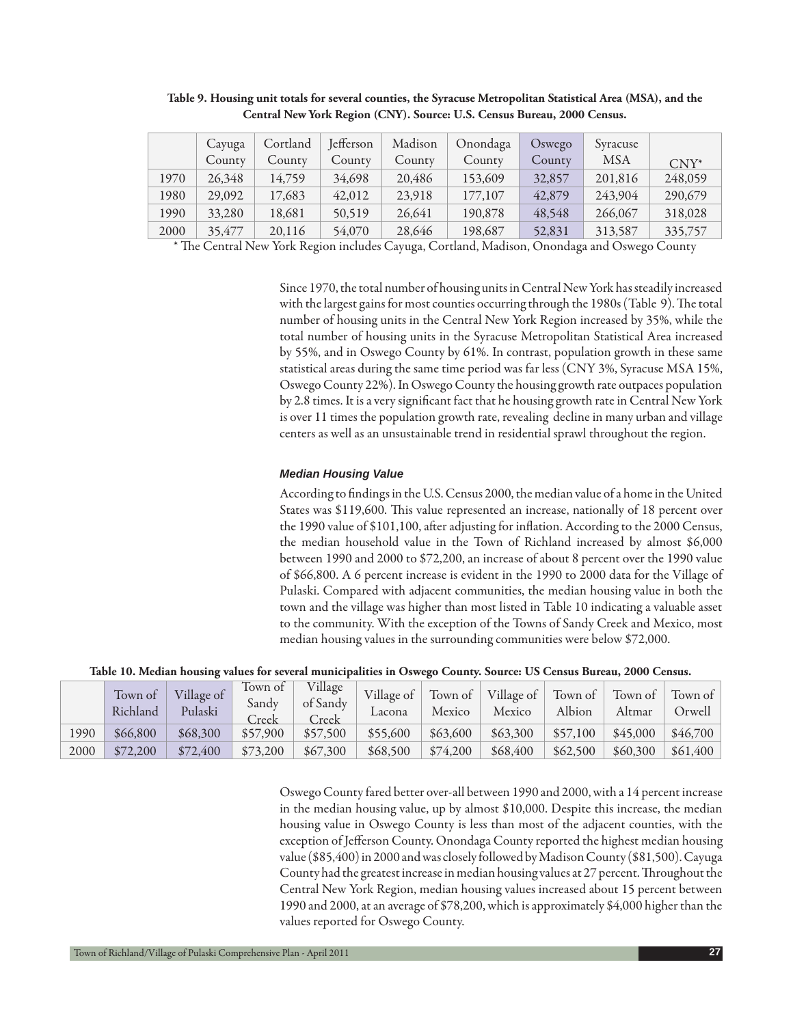|      | Cayuga | Cortland | Jefferson | Madison | Onondaga | Oswego | Syracuse   |         |
|------|--------|----------|-----------|---------|----------|--------|------------|---------|
|      | County | County   | County    | County  | County   | County | <b>MSA</b> | $CNY^*$ |
| 1970 | 26,348 | 14.759   | 34,698    | 20,486  | 153,609  | 32,857 | 201,816    | 248,059 |
| 1980 | 29,092 | 17,683   | 42,012    | 23,918  | 177,107  | 42,879 | 243,904    | 290,679 |
| 1990 | 33,280 | 18,681   | 50,519    | 26,641  | 190,878  | 48,548 | 266,067    | 318,028 |
| 2000 | 35,477 | 20,116   | 54,070    | 28,646  | 198,687  | 52,831 | 313,587    | 335,757 |

**Table 9. Housing unit totals for several counties, the Syracuse Metropolitan Statistical Area (MSA), and the Central New York Region (CNY). Source: U.S. Census Bureau, 2000 Census.**

 $*$  The Central New York Region includes Cayuga, Cortland, Madison, Onondaga and Oswego County

Since 1970, the total number of housing units in Central New York has steadily increased with the largest gains for most counties occurring through the 1980s (Table 9). The total number of housing units in the Central New York Region increased by 35%, while the total number of housing units in the Syracuse Metropolitan Statistical Area increased by 55%, and in Oswego County by 61%. In contrast, population growth in these same statistical areas during the same time period was far less (CNY 3%, Syracuse MSA 15%, Oswego County 22%). In Oswego County the housing growth rate outpaces population by 2.8 times. It is a very significant fact that he housing growth rate in Central New York is over 11 times the population growth rate, revealing decline in many urban and village centers as well as an unsustainable trend in residential sprawl throughout the region.

#### *Median Housing Value*

According to findings in the U.S. Census 2000, the median value of a home in the United States was \$119,600. This value represented an increase, nationally of 18 percent over the 1990 value of \$101,100, after adjusting for inflation. According to the 2000 Census, the median household value in the Town of Richland increased by almost \$6,000 between 1990 and 2000 to \$72,200, an increase of about 8 percent over the 1990 value of \$66,800. A 6 percent increase is evident in the 1990 to 2000 data for the Village of Pulaski. Compared with adjacent communities, the median housing value in both the town and the village was higher than most listed in Table 10 indicating a valuable asset to the community. With the exception of the Towns of Sandy Creek and Mexico, most median housing values in the surrounding communities were below \$72,000.

**Table 10. Median housing values for several municipalities in Oswego County. Source: US Census Bureau, 2000 Census.**

|      | Town of<br>Richland | Village of<br>Pulaski | Town of<br>Sandy<br>Creek | Village<br>of Sandy<br>Creek | Village of<br>Lacona | Town of<br>Mexico | $\blacksquare$ Village of $\blacksquare$<br>Mexico | Town of $\vert$<br>Albion | Town of<br>Altmar | Town of<br>Orwell |
|------|---------------------|-----------------------|---------------------------|------------------------------|----------------------|-------------------|----------------------------------------------------|---------------------------|-------------------|-------------------|
| 1990 | \$66,800            | \$68,300              | \$57,900                  | \$57,500                     | \$55,600             | \$63,600          | \$63,300                                           | \$57,100                  | \$45,000          | \$46,700          |
| 2000 | \$72,200            | \$72,400              | \$73,200                  | \$67,300                     | \$68,500             | \$74,200          | \$68,400                                           | \$62,500                  | \$60,300          | \$61,400          |

Oswego County fared better over-all between 1990 and 2000, with a 14 percent increase in the median housing value, up by almost \$10,000. Despite this increase, the median housing value in Oswego County is less than most of the adjacent counties, with the exception of Jefferson County. Onondaga County reported the highest median housing value (\$85,400) in 2000 and was closely followed by Madison County (\$81,500). Cayuga County had the greatest increase in median housing values at 27 percent. Throughout the Central New York Region, median housing values increased about 15 percent between 1990 and 2000, at an average of \$78,200, which is approximately \$4,000 higher than the values reported for Oswego County.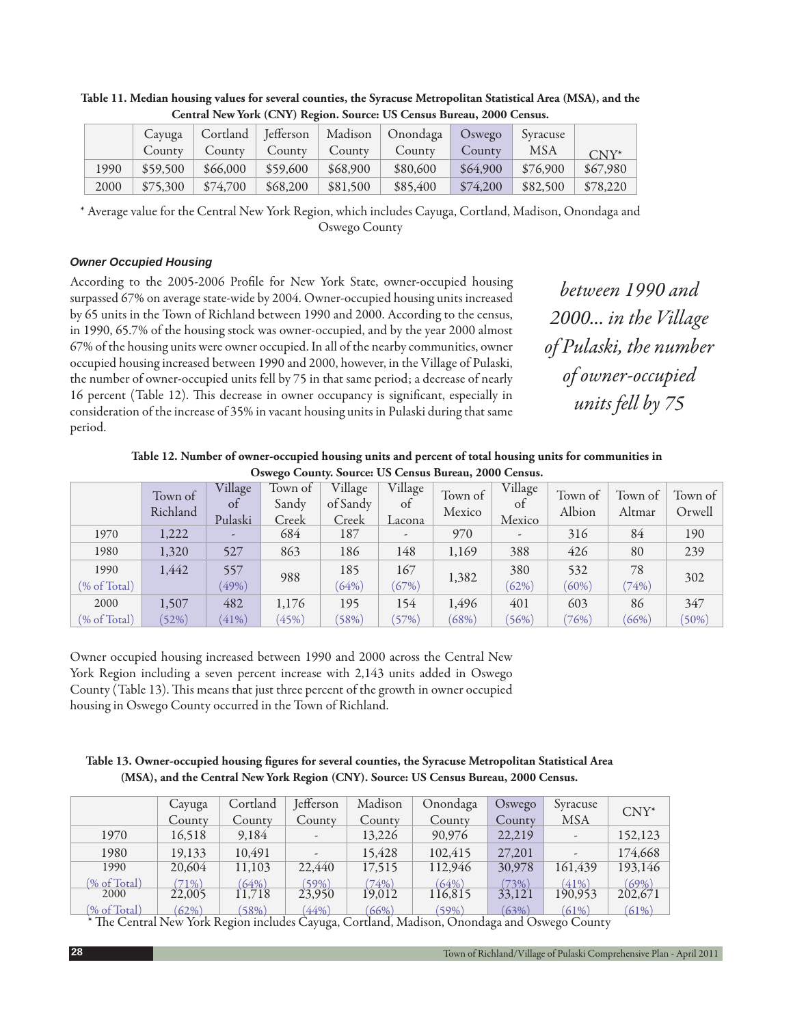|      | Cayuga   |          | Cortland   Jefferson |          | Madison   Onondaga | $\log$ Oswego | Syracuse |          |  |  |
|------|----------|----------|----------------------|----------|--------------------|---------------|----------|----------|--|--|
|      | County   | Countv   | $\sim$ County        | County   | County             | County        | MSA      | $CNY^*$  |  |  |
| 1990 | \$59,500 | \$66,000 | \$59,600             | \$68,900 | \$80,600           | \$64,900      | \$76,900 | \$67,980 |  |  |
| 2000 | \$75,300 | \$74,700 | \$68,200             | \$81,500 | \$85,400           | \$74,200      | \$82,500 | \$78,220 |  |  |

**Table 11. Median housing values for several counties, the Syracuse Metropolitan Statistical Area (MSA), and the Central New York (CNY) Region. Source: US Census Bureau, 2000 Census.**

\* Average value for the Central New York Region, which includes Cayuga, Cortland, Madison, Onondaga and Oswego County

# *Owner Occupied Housing*

According to the 2005-2006 Profile for New York State, owner-occupied housing surpassed 67% on average state-wide by 2004. Owner-occupied housing units increased by 65 units in the Town of Richland between 1990 and 2000. According to the census, in 1990, 65.7% of the housing stock was owner-occupied, and by the year 2000 almost 67% of the housing units were owner occupied. In all of the nearby communities, owner occupied housing increased between 1990 and 2000, however, in the Village of Pulaski, the number of owner-occupied units fell by 75 in that same period; a decrease of nearly 16 percent (Table 12). This decrease in owner occupancy is significant, especially in consideration of the increase of 35% in vacant housing units in Pulaski during that same period.

*between 1990 and 2000... in the Village of Pulaski, the number of owner-occupied units fell by 75*

**Table 12. Number of owner-occupied housing units and percent of total housing units for communities in Oswego County. Source: US Census Bureau, 2000 Census.**

|              | Town of<br>Richland | Village<br>0t<br>Pulaski | Town of<br>Sandy<br>Creek | Village<br>of Sandy<br>Creek | Village<br>of<br>Lacona  | Town of<br>Mexico | Village<br><sub>ot</sub><br>Mexico | Town of<br>Albion | Town of<br>Altmar | Town of<br>Orwell |
|--------------|---------------------|--------------------------|---------------------------|------------------------------|--------------------------|-------------------|------------------------------------|-------------------|-------------------|-------------------|
| 1970         | 1,222               |                          | 684                       | 187                          | $\overline{\phantom{a}}$ | 970               | $\overline{\phantom{a}}$           | 316               | 84                | 190               |
| 1980         | 1,320               | 527                      | 863                       | 186                          | 148                      | 1,169             | 388                                | 426               | 80                | 239               |
| 1990         | 1,442               | 557                      |                           | 185                          | 167                      |                   | 380                                | 532               | 78                |                   |
| (% of Total) |                     | (49%)                    | 988                       | (64%)                        | (67%)                    | 1,382             | (62%)                              | $(60\%)$          | (74%)             | 302               |
| 2000         | 1,507               | 482                      | 1,176                     | 195                          | 154                      | 1,496             | 401                                | 603               | 86                | 347               |
| (% of Total) | (52%)               | (41%)                    | (45%)                     | (58%)                        | (57%)                    | (68%)             | (56%)                              | $(76\%)$          | (66%)             | (50%)             |

Owner occupied housing increased between 1990 and 2000 across the Central New York Region including a seven percent increase with 2,143 units added in Oswego County (Table 13). This means that just three percent of the growth in owner occupied housing in Oswego County occurred in the Town of Richland.

# Table 13. Owner-occupied housing figures for several counties, the Syracuse Metropolitan Statistical Area **(MSA), and the Central New York Region (CNY). Source: US Census Bureau, 2000 Census.**

|              | Cayuga  | Cortland | Jefferson                | Madison | Onondaga | Oswego | Syracuse                 | $CNY^*$                  |
|--------------|---------|----------|--------------------------|---------|----------|--------|--------------------------|--------------------------|
|              | County  | County   | County                   | County  | County   | County | <b>MSA</b>               |                          |
| 1970         | 16,518  | 9,184    |                          | 13,226  | 90,976   | 22,219 |                          | 152,123                  |
| 1980         | 19,133  | 10,491   | $\overline{\phantom{a}}$ | 15,428  | 102,415  | 27,201 | $\overline{\phantom{a}}$ | 174,668                  |
| 1990         | 20,604  | 11,103   | 22,440                   | 17,515  | 112,946  | 30,978 | 161,439                  | 193,146                  |
| (% of Total) | $71\%)$ | (64%)    | (59%)                    | (74%)   | (64%)    | (73%)  | (41%)                    | $\frac{(69\%)}{202,671}$ |
| 2000         | 22,005  | 11.718   | 23,950                   | 19.012  | 116,815  | 33,121 | 190,953                  |                          |
| (% of Total) | (62%)   | (58%)    | (44%                     | (66%)   | $(59\%)$ | (63%)  | (61%)                    | (61%)                    |

(% of Total) (62%) (58%) (44%) (66%) (59%) (63%) (61%) (61%)<br>\* The Central New York Region includes Cayuga, Cortland, Madison, Onondaga and Oswego County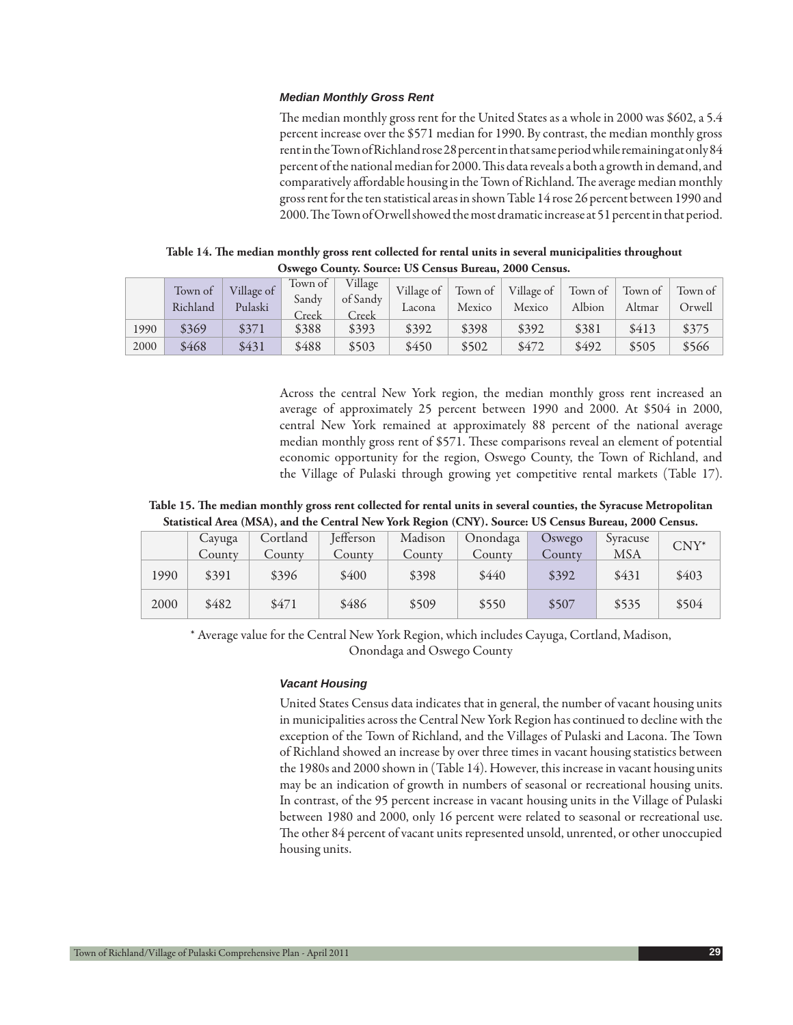#### *Median Monthly Gross Rent*

The median monthly gross rent for the United States as a whole in 2000 was \$602, a 5.4 percent increase over the \$571 median for 1990. By contrast, the median monthly gross rent in the Town of Richland rose 28 percent in that same period while remaining at only 84 percent of the national median for 2000. This data reveals a both a growth in demand, and comparatively affordable housing in the Town of Richland. The average median monthly gross rent for the ten statistical areas in shown Table 14 rose 26 percent between 1990 and 2000. The Town of Orwell showed the most dramatic increase at 51 percent in that period.

|      | UU!!VLU UUWAAV!! UUWA VY! UU UVAAUWU AFWA WWW! SIYUU UVAAUWU! |                       |                           |                              |                      |                   |                      |                   |                   |                   |  |
|------|---------------------------------------------------------------|-----------------------|---------------------------|------------------------------|----------------------|-------------------|----------------------|-------------------|-------------------|-------------------|--|
|      | Town of<br>Richland                                           | Village of<br>Pulaski | Town of<br>Sandy<br>Creek | Village<br>of Sandy<br>Creek | Village of<br>Lacona | Town of<br>Mexico | Village of<br>Mexico | Town of<br>Albion | Town of<br>Altmar | Town of<br>Orwell |  |
| 1990 | \$369                                                         | \$371                 | \$388                     | \$393                        | \$392                | \$398             | \$392                | \$381             | \$413             | \$375             |  |
| 2000 | \$468                                                         | \$431                 | \$488                     | \$503                        | \$450                | \$502             | \$472                | \$492             | \$505             | \$566             |  |

Table 14. The median monthly gross rent collected for rental units in several municipalities throughout **Oswego County. Source: US Census Bureau, 2000 Census.**

Across the central New York region, the median monthly gross rent increased an average of approximately 25 percent between 1990 and 2000. At \$504 in 2000, central New York remained at approximately 88 percent of the national average median monthly gross rent of \$571. These comparisons reveal an element of potential economic opportunity for the region, Oswego County, the Town of Richland, and the Village of Pulaski through growing yet competitive rental markets (Table 17).

### Table 15. The median monthly gross rent collected for rental units in several counties, the Syracuse Metropolitan **Statistical Area (MSA), and the Central New York Region (CNY). Source: US Census Bureau, 2000 Census.**

|      | Cayuga | Cortland | <b>J</b> efferson | Madison | Onondaga | Oswego | Syracuse   | $CNY^*$ |  |
|------|--------|----------|-------------------|---------|----------|--------|------------|---------|--|
|      | County | County   | County            | County  | County   | County | <b>MSA</b> |         |  |
| 1990 | \$391  | \$396    | \$400             | \$398   | \$440    | \$392  | \$431      | \$403   |  |
| 2000 | \$482  | \$471    | \$486             | \$509   | \$550    | \$507  | \$535      | \$504   |  |

\* Average value for the Central New York Region, which includes Cayuga, Cortland, Madison, Onondaga and Oswego County

### *Vacant Housing*

United States Census data indicates that in general, the number of vacant housing units in municipalities across the Central New York Region has continued to decline with the exception of the Town of Richland, and the Villages of Pulaski and Lacona. The Town of Richland showed an increase by over three times in vacant housing statistics between the 1980s and 2000 shown in (Table 14). However, this increase in vacant housing units may be an indication of growth in numbers of seasonal or recreational housing units. In contrast, of the 95 percent increase in vacant housing units in the Village of Pulaski between 1980 and 2000, only 16 percent were related to seasonal or recreational use. The other 84 percent of vacant units represented unsold, unrented, or other unoccupied housing units.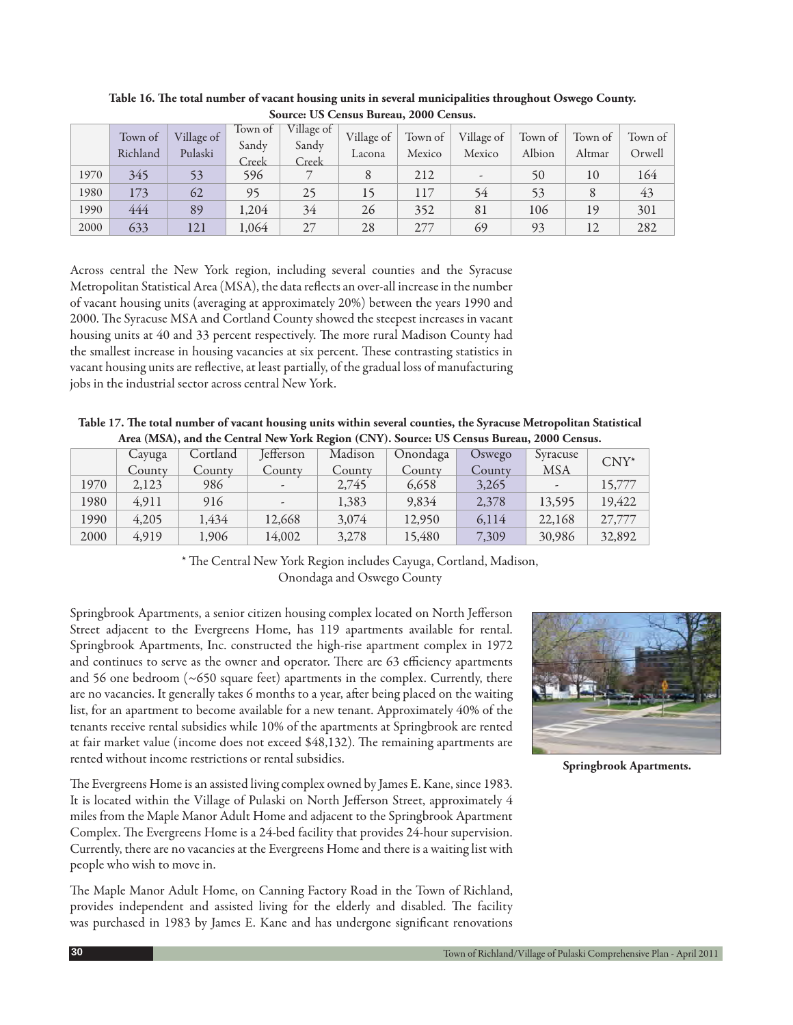|      | <u>Jource, Ob Ochsus Durcuus 2000 Ochsus.</u> |                       |                           |                              |                      |                   |                          |                   |                   |                   |  |
|------|-----------------------------------------------|-----------------------|---------------------------|------------------------------|----------------------|-------------------|--------------------------|-------------------|-------------------|-------------------|--|
|      | Town of<br>Richland                           | Village of<br>Pulaski | Town of<br>Sandy<br>Creek | Village of<br>Sandy<br>Creek | Village of<br>Lacona | Town of<br>Mexico | Village of<br>Mexico     | Town of<br>Albion | Town of<br>Altmar | Town of<br>Orwell |  |
| 1970 | 345                                           | 53                    | 596                       |                              |                      | 212               | $\overline{\phantom{a}}$ | 50                | 10                | 164               |  |
| 1980 | 173                                           | 62                    | 95                        | 25                           | 15                   | 117               | 54                       | 53                | 8                 | 43                |  |
| 1990 | 444                                           | 89                    | 1,204                     | 34                           | 26                   | 352               | 81                       | 106               | 19                | 301               |  |
| 2000 | 633                                           | 121                   | 1,064                     | 27                           | 28                   | 277               | 69                       | 93                | 12                | 282               |  |

Table 16. The total number of vacant housing units in several municipalities throughout Oswego County. **Source: US Census Bureau, 2000 Census.**

Across central the New York region, including several counties and the Syracuse Metropolitan Statistical Area (MSA), the data reflects an over-all increase in the number of vacant housing units (averaging at approximately 20%) between the years 1990 and 2000. The Syracuse MSA and Cortland County showed the steepest increases in vacant housing units at 40 and 33 percent respectively. The more rural Madison County had the smallest increase in housing vacancies at six percent. These contrasting statistics in vacant housing units are reflective, at least partially, of the gradual loss of manufacturing jobs in the industrial sector across central New York.

| Table 17. The total number of vacant housing units within several counties, the Syracuse Metropolitan Statistical |
|-------------------------------------------------------------------------------------------------------------------|
| Area (MSA), and the Central New York Region (CNY). Source: US Census Bureau, 2000 Census.                         |

|      | Cayuga | Cortland | <b>J</b> efferson        | Madison | Onondaga | <b>Oswego</b> | Syracuse                 | $CNY^*$ |
|------|--------|----------|--------------------------|---------|----------|---------------|--------------------------|---------|
|      | County | County   | County                   | County  | County   | County        | MSA                      |         |
| 1970 | 2,123  | 986      | $\overline{\phantom{a}}$ | 2,745   | 6,658    | 3,265         | $\overline{\phantom{a}}$ | 15,777  |
| 1980 | 4.911  | 916      | $\overline{\phantom{a}}$ | 1,383   | 9,834    | 2,378         | 13,595                   | 19,422  |
| 1990 | 4,205  | 1,434    | 12,668                   | 3,074   | 12,950   | 6.114         | 22,168                   | 27,777  |
| 2000 | 4,919  | 1,906    | 14,002                   | 3,278   | 15,480   | 7,309         | 30,986                   | 32,892  |

\* The Central New York Region includes Cayuga, Cortland, Madison, Onondaga and Oswego County

Springbrook Apartments, a senior citizen housing complex located on North Jefferson Street adjacent to the Evergreens Home, has 119 apartments available for rental. Springbrook Apartments, Inc. constructed the high-rise apartment complex in 1972 and continues to serve as the owner and operator. There are 63 efficiency apartments and 56 one bedroom  $(\sim 650$  square feet) apartments in the complex. Currently, there are no vacancies. It generally takes 6 months to a year, after being placed on the waiting list, for an apartment to become available for a new tenant. Approximately 40% of the tenants receive rental subsidies while 10% of the apartments at Springbrook are rented at fair market value (income does not exceed \$48,132). The remaining apartments are rented without income restrictions or rental subsidies.

The Evergreens Home is an assisted living complex owned by James E. Kane, since 1983. It is located within the Village of Pulaski on North Jefferson Street, approximately 4 miles from the Maple Manor Adult Home and adjacent to the Springbrook Apartment Complex. The Evergreens Home is a 24-bed facility that provides 24-hour supervision. Currently, there are no vacancies at the Evergreens Home and there is a waiting list with people who wish to move in.

The Maple Manor Adult Home, on Canning Factory Road in the Town of Richland, provides independent and assisted living for the elderly and disabled. The facility was purchased in 1983 by James E. Kane and has undergone significant renovations



**Springbrook Apartments.**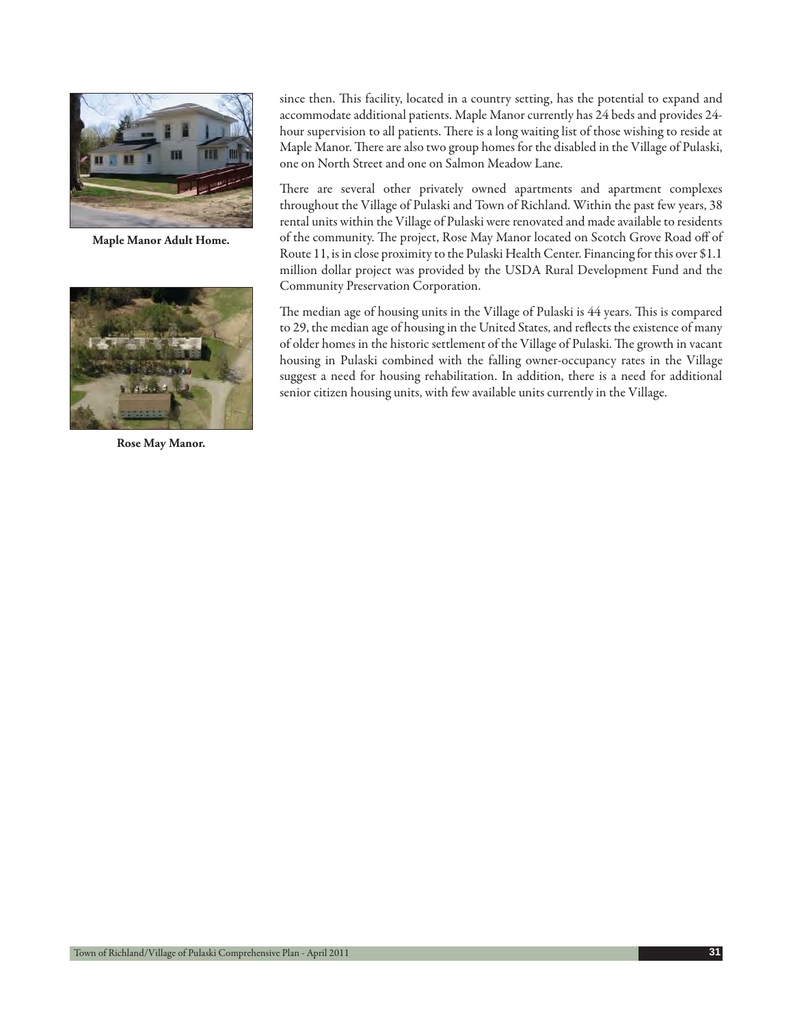

**Maple Manor Adult Home.**



**Rose May Manor.**

since then. This facility, located in a country setting, has the potential to expand and accommodate additional patients. Maple Manor currently has 24 beds and provides 24 hour supervision to all patients. There is a long waiting list of those wishing to reside at Maple Manor. There are also two group homes for the disabled in the Village of Pulaski, one on North Street and one on Salmon Meadow Lane.

There are several other privately owned apartments and apartment complexes throughout the Village of Pulaski and Town of Richland. Within the past few years, 38 rental units within the Village of Pulaski were renovated and made available to residents of the community. The project, Rose May Manor located on Scotch Grove Road off of Route 11, is in close proximity to the Pulaski Health Center. Financing for this over \$1.1 million dollar project was provided by the USDA Rural Development Fund and the Community Preservation Corporation.

The median age of housing units in the Village of Pulaski is 44 years. This is compared to 29, the median age of housing in the United States, and reflects the existence of many of older homes in the historic settlement of the Village of Pulaski. The growth in vacant housing in Pulaski combined with the falling owner-occupancy rates in the Village suggest a need for housing rehabilitation. In addition, there is a need for additional senior citizen housing units, with few available units currently in the Village.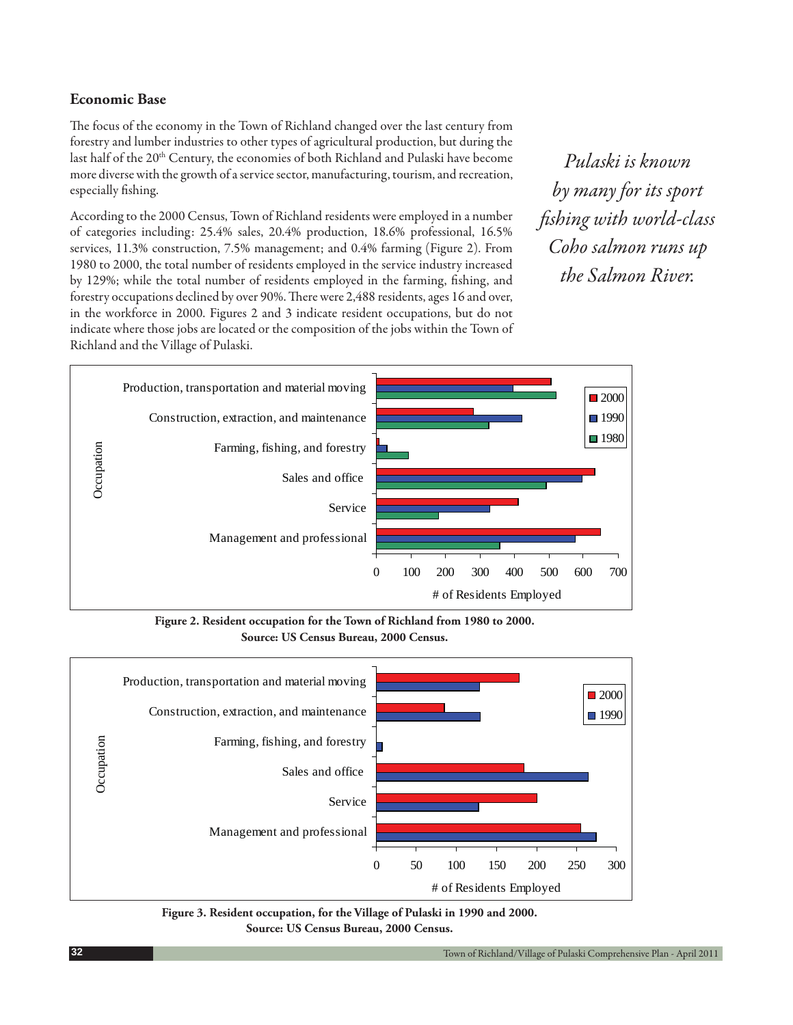# **Economic Base**

The focus of the economy in the Town of Richland changed over the last century from forestry and lumber industries to other types of agricultural production, but during the last half of the 20<sup>th</sup> Century, the economies of both Richland and Pulaski have become more diverse with the growth of a service sector, manufacturing, tourism, and recreation, especially fishing.

According to the 2000 Census, Town of Richland residents were employed in a number of categories including: 25.4% sales, 20.4% production, 18.6% professional, 16.5% services, 11.3% construction, 7.5% management; and 0.4% farming (Figure 2). From 1980 to 2000, the total number of residents employed in the service industry increased by 129%; while the total number of residents employed in the farming, fishing, and forestry occupations declined by over 90%. There were 2,488 residents, ages 16 and over, in the workforce in 2000. Figures 2 and 3 indicate resident occupations, but do not indicate where those jobs are located or the composition of the jobs within the Town of Richland and the Village of Pulaski.

*Pulaski is known by many for its sport fi shing with world-class Coho salmon runs up the Salmon River.*



**Figure 2. Resident occupation for the Town of Richland from 1980 to 2000. Source: US Census Bureau, 2000 Census.**



**Figure 3. Resident occupation, for the Village of Pulaski in 1990 and 2000. Source: US Census Bureau, 2000 Census.**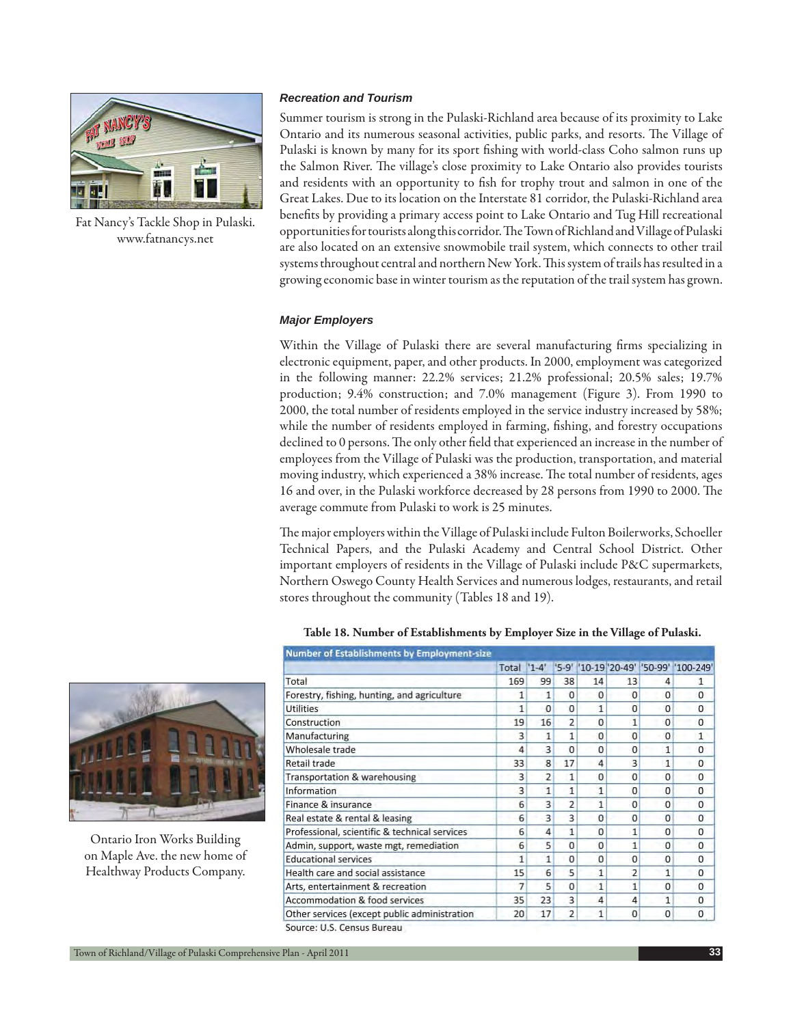

Fat Nancy's Tackle Shop in Pulaski. www.fatnancys.net

### *Recreation and Tourism*

Summer tourism is strong in the Pulaski-Richland area because of its proximity to Lake Ontario and its numerous seasonal activities, public parks, and resorts. The Village of Pulaski is known by many for its sport fishing with world-class Coho salmon runs up the Salmon River. The village's close proximity to Lake Ontario also provides tourists and residents with an opportunity to fish for trophy trout and salmon in one of the Great Lakes. Due to its location on the Interstate 81 corridor, the Pulaski-Richland area benefits by providing a primary access point to Lake Ontario and Tug Hill recreational opportunities for tourists along this corridor. The Town of Richland and Village of Pulaski are also located on an extensive snowmobile trail system, which connects to other trail systems throughout central and northern New York. This system of trails has resulted in a growing economic base in winter tourism as the reputation of the trail system has grown.

#### *Major Employers*

Within the Village of Pulaski there are several manufacturing firms specializing in electronic equipment, paper, and other products. In 2000, employment was categorized in the following manner: 22.2% services; 21.2% professional; 20.5% sales; 19.7% production; 9.4% construction; and 7.0% management (Figure 3). From 1990 to 2000, the total number of residents employed in the service industry increased by 58%; while the number of residents employed in farming, fishing, and forestry occupations declined to 0 persons. The only other field that experienced an increase in the number of employees from the Village of Pulaski was the production, transportation, and material moving industry, which experienced a 38% increase. The total number of residents, ages 16 and over, in the Pulaski workforce decreased by 28 persons from 1990 to 2000. The average commute from Pulaski to work is 25 minutes.

The major employers within the Village of Pulaski include Fulton Boilerworks, Schoeller Technical Papers, and the Pulaski Academy and Central School District. Other important employers of residents in the Village of Pulaski include P&C supermarkets, Northern Oswego County Health Services and numerous lodges, restaurants, and retail stores throughout the community (Tables 18 and 19).



**Table 18. Number of Establishments by Employer Size in the Village of Pulaski.**

Ontario Iron Works Building on Maple Ave. the new home of Healthway Products Company.

|                                               | Total | $'1 - 4'$      |                |             |                |              | "5-9"  '10-19 20-49' '50-99' '100-249' |
|-----------------------------------------------|-------|----------------|----------------|-------------|----------------|--------------|----------------------------------------|
| Total                                         | 169   | 99             | 38             | 14          | 13             | 4            | 1                                      |
| Forestry, fishing, hunting, and agriculture   | 1     | 1              | $\Omega$       | $\Omega$    | $\Omega$       | $\Omega$     | $\Omega$                               |
| <b>Utilities</b>                              | 1     | $\Omega$       | O              | 1           | $\Omega$       | $\Omega$     | 0                                      |
| Construction                                  | 19    | 16             | 2              | 0           | 1              | $\Omega$     | 0                                      |
| Manufacturing                                 | 3     | 1              | 1              | 0           | $\Omega$       | $\Omega$     | $\mathbf{1}$                           |
| Wholesale trade                               | 4     | 3              | $\Omega$       | 0           | $\Omega$       | 1            | 0                                      |
| Retail trade                                  | 33    | 8              | 17             | 4           | 3              | $\mathbf{1}$ | 0                                      |
| Transportation & warehousing                  | 3     | $\overline{2}$ | 1              | $\Omega$    | $\Omega$       | $\Omega$     | $\Omega$                               |
| Information                                   | 3     | 1              | 1              | 1           | $\Omega$       | $\Omega$     | 0                                      |
| Finance & insurance                           | 6     | 3              | $\overline{2}$ | 1           | $\Omega$       | 0            | 0                                      |
| Real estate & rental & leasing                | 6     | 3              | 3              | $\Omega$    | $\Omega$       | $\Omega$     | 0                                      |
| Professional, scientific & technical services | 6     | 4              | 1              | 0           | 1              | $\Omega$     | 0                                      |
| Admin, support, waste mgt, remediation        | 6     | 5              | n              | $\mathbf 0$ | 1              | $\Omega$     | $\Omega$                               |
| <b>Educational services</b>                   | 1     | $\mathbf{1}$   | $\Omega$       | $\Omega$    | $\Omega$       | $\Omega$     | 0                                      |
| Health care and social assistance             | 15    | 6              | 5              | 1           | $\overline{2}$ | $\mathbf{1}$ | $\Omega$                               |
| Arts, entertainment & recreation              | 7     | 5              | $\Omega$       | 1           | 1              | $\Omega$     | $\Omega$                               |
| Accommodation & food services                 | 35    | 23             | 3              | 4           | 4              | 1            | 0                                      |
| Other services (except public administration  | 20    | 17             | $\overline{2}$ | 1           | 0              | 0            | 0                                      |
| Source: U.S. Census Bureau                    |       |                |                |             |                |              |                                        |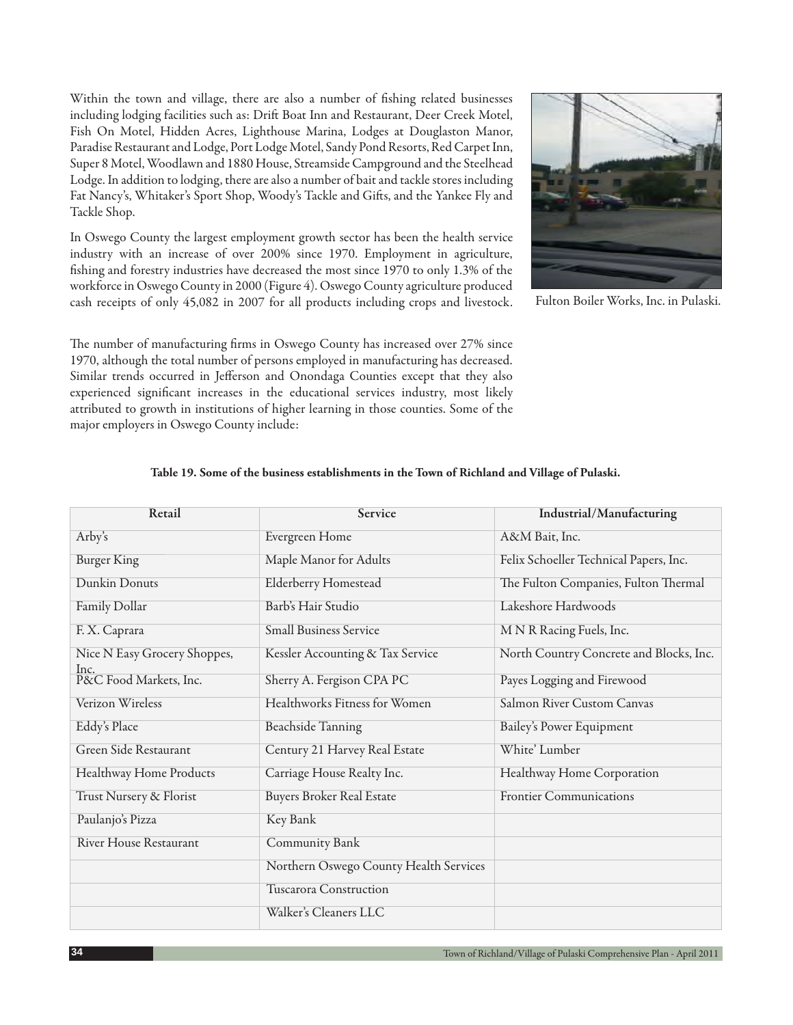Within the town and village, there are also a number of fishing related businesses including lodging facilities such as: Drift Boat Inn and Restaurant, Deer Creek Motel, Fish On Motel, Hidden Acres, Lighthouse Marina, Lodges at Douglaston Manor, Paradise Restaurant and Lodge, Port Lodge Motel, Sandy Pond Resorts, Red Carpet Inn, Super 8 Motel, Woodlawn and 1880 House, Streamside Campground and the Steelhead Lodge. In addition to lodging, there are also a number of bait and tackle stores including Fat Nancy's, Whitaker's Sport Shop, Woody's Tackle and Gifts, and the Yankee Fly and Tackle Shop.

In Oswego County the largest employment growth sector has been the health service industry with an increase of over 200% since 1970. Employment in agriculture, fishing and forestry industries have decreased the most since 1970 to only 1.3% of the workforce in Oswego County in 2000 (Figure 4). Oswego County agriculture produced cash receipts of only 45,082 in 2007 for all products including crops and livestock.

The number of manufacturing firms in Oswego County has increased over 27% since 1970, although the total number of persons employed in manufacturing has decreased. Similar trends occurred in Jefferson and Onondaga Counties except that they also experienced significant increases in the educational services industry, most likely attributed to growth in institutions of higher learning in those counties. Some of the major employers in Oswego County include:



Fulton Boiler Works, Inc. in Pulaski.

| Retail                         | Service                                | Industrial/Manufacturing                |
|--------------------------------|----------------------------------------|-----------------------------------------|
| Arby's                         | Evergreen Home                         | A&M Bait, Inc.                          |
| <b>Burger King</b>             | Maple Manor for Adults                 | Felix Schoeller Technical Papers, Inc.  |
| Dunkin Donuts                  | <b>Elderberry Homestead</b>            | The Fulton Companies, Fulton Thermal    |
| Family Dollar                  | Barb's Hair Studio                     | Lakeshore Hardwoods                     |
| F. X. Caprara                  | <b>Small Business Service</b>          | M N R Racing Fuels, Inc.                |
| Nice N Easy Grocery Shoppes,   | Kessler Accounting & Tax Service       | North Country Concrete and Blocks, Inc. |
| Inc.<br>P&C Food Markets, Inc. | Sherry A. Fergison CPA PC              | Payes Logging and Firewood              |
| Verizon Wireless               | Healthworks Fitness for Women          | Salmon River Custom Canvas              |
| Eddy's Place                   | <b>Beachside Tanning</b>               | Bailey's Power Equipment                |
| Green Side Restaurant          | Century 21 Harvey Real Estate          | White' Lumber                           |
| Healthway Home Products        | Carriage House Realty Inc.             | Healthway Home Corporation              |
| Trust Nursery & Florist        | <b>Buyers Broker Real Estate</b>       | <b>Frontier Communications</b>          |
| Paulanjo's Pizza               | Key Bank                               |                                         |
| <b>River House Restaurant</b>  | Community Bank                         |                                         |
|                                | Northern Oswego County Health Services |                                         |
|                                | Tuscarora Construction                 |                                         |
|                                | Walker's Cleaners LLC                  |                                         |

### **Table 19. Some of the business establishments in the Town of Richland and Village of Pulaski.**